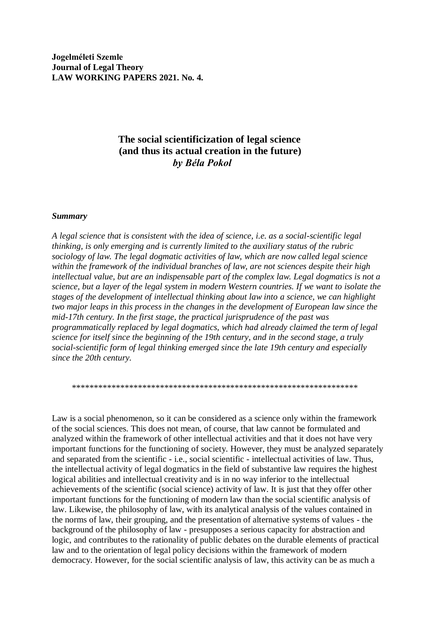**Jogelméleti Szemle Journal of Legal Theory LAW WORKING PAPERS 2021. No. 4.**

# **The social scientificization of legal science (and thus its actual creation in the future)** *by Béla Pokol*

#### *Summary*

*A legal science that is consistent with the idea of science, i.e. as a social-scientific legal thinking, is only emerging and is currently limited to the auxiliary status of the rubric sociology of law. The legal dogmatic activities of law, which are now called legal science within the framework of the individual branches of law, are not sciences despite their high intellectual value, but are an indispensable part of the complex law. Legal dogmatics is not a science, but a layer of the legal system in modern Western countries. If we want to isolate the stages of the development of intellectual thinking about law into a science, we can highlight two major leaps in this process in the changes in the development of European law since the mid-17th century. In the first stage, the practical jurisprudence of the past was programmatically replaced by legal dogmatics, which had already claimed the term of legal science for itself since the beginning of the 19th century, and in the second stage, a truly social-scientific form of legal thinking emerged since the late 19th century and especially since the 20th century.*

\*\*\*\*\*\*\*\*\*\*\*\*\*\*\*\*\*\*\*\*\*\*\*\*\*\*\*\*\*\*\*\*\*\*\*\*\*\*\*\*\*\*\*\*\*\*\*\*\*\*\*\*\*\*\*\*\*\*\*\*\*\*\*\*\*

Law is a social phenomenon, so it can be considered as a science only within the framework of the social sciences. This does not mean, of course, that law cannot be formulated and analyzed within the framework of other intellectual activities and that it does not have very important functions for the functioning of society. However, they must be analyzed separately and separated from the scientific - i.e., social scientific - intellectual activities of law. Thus, the intellectual activity of legal dogmatics in the field of substantive law requires the highest logical abilities and intellectual creativity and is in no way inferior to the intellectual achievements of the scientific (social science) activity of law. It is just that they offer other important functions for the functioning of modern law than the social scientific analysis of law. Likewise, the philosophy of law, with its analytical analysis of the values contained in the norms of law, their grouping, and the presentation of alternative systems of values - the background of the philosophy of law - presupposes a serious capacity for abstraction and logic, and contributes to the rationality of public debates on the durable elements of practical law and to the orientation of legal policy decisions within the framework of modern democracy. However, for the social scientific analysis of law, this activity can be as much a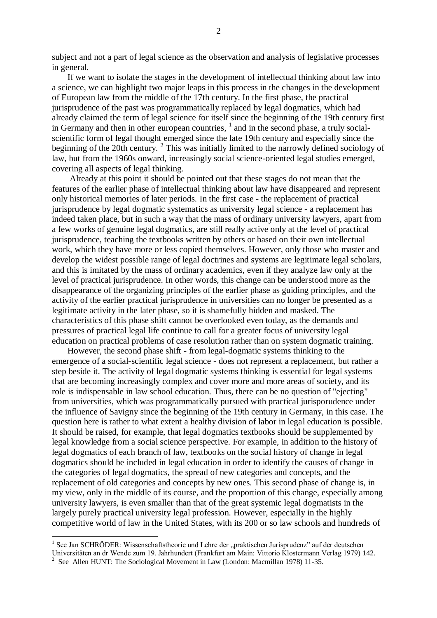subject and not a part of legal science as the observation and analysis of legislative processes in general.

 If we want to isolate the stages in the development of intellectual thinking about law into a science, we can highlight two major leaps in this process in the changes in the development of European law from the middle of the 17th century. In the first phase, the practical jurisprudence of the past was programmatically replaced by legal dogmatics, which had already claimed the term of legal science for itself since the beginning of the 19th century first in Germany and then in other european countries, <sup>1</sup> and in the second phase, a truly socialscientific form of legal thought emerged since the late 19th century and especially since the beginning of the 20th century. <sup>2</sup> This was initially limited to the narrowly defined sociology of law, but from the 1960s onward, increasingly social science-oriented legal studies emerged, covering all aspects of legal thinking.

 Already at this point it should be pointed out that these stages do not mean that the features of the earlier phase of intellectual thinking about law have disappeared and represent only historical memories of later periods. In the first case - the replacement of practical jurisprudence by legal dogmatic systematics as university legal science - a replacement has indeed taken place, but in such a way that the mass of ordinary university lawyers, apart from a few works of genuine legal dogmatics, are still really active only at the level of practical jurisprudence, teaching the textbooks written by others or based on their own intellectual work, which they have more or less copied themselves. However, only those who master and develop the widest possible range of legal doctrines and systems are legitimate legal scholars, and this is imitated by the mass of ordinary academics, even if they analyze law only at the level of practical jurisprudence. In other words, this change can be understood more as the disappearance of the organizing principles of the earlier phase as guiding principles, and the activity of the earlier practical jurisprudence in universities can no longer be presented as a legitimate activity in the later phase, so it is shamefully hidden and masked. The characteristics of this phase shift cannot be overlooked even today, as the demands and pressures of practical legal life continue to call for a greater focus of university legal education on practical problems of case resolution rather than on system dogmatic training.

 However, the second phase shift - from legal-dogmatic systems thinking to the emergence of a social-scientific legal science - does not represent a replacement, but rather a step beside it. The activity of legal dogmatic systems thinking is essential for legal systems that are becoming increasingly complex and cover more and more areas of society, and its role is indispensable in law school education. Thus, there can be no question of "ejecting" from universities, which was programmatically pursued with practical jurisporudence under the influence of Savigny since the beginning of the 19th century in Germany, in this case. The question here is rather to what extent a healthy division of labor in legal education is possible. It should be raised, for example, that legal dogmatics textbooks should be supplemented by legal knowledge from a social science perspective. For example, in addition to the history of legal dogmatics of each branch of law, textbooks on the social history of change in legal dogmatics should be included in legal education in order to identify the causes of change in the categories of legal dogmatics, the spread of new categories and concepts, and the replacement of old categories and concepts by new ones. This second phase of change is, in my view, only in the middle of its course, and the proportion of this change, especially among university lawyers, is even smaller than that of the great systemic legal dogmatists in the largely purely practical university legal profession. However, especially in the highly competitive world of law in the United States, with its 200 or so law schools and hundreds of

<sup>&</sup>lt;sup>1</sup> See Jan SCHRÖDER: Wissenschaftstheorie und Lehre der "praktischen Jurisprudenz" auf der deutschen Universitäten an dr Wende zum 19. Jahrhundert (Frankfurt am Main: Vittorio Klostermann Verlag 1979) 142.

<sup>2</sup> See Allen HUNT: The Sociological Movement in Law (London: Macmillan 1978) 11-35.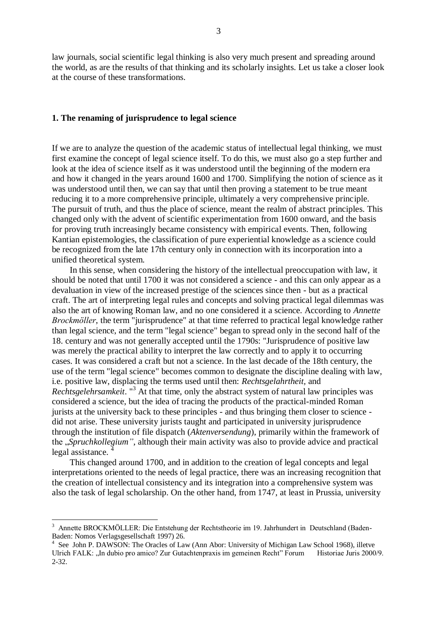law journals, social scientific legal thinking is also very much present and spreading around the world, as are the results of that thinking and its scholarly insights. Let us take a closer look at the course of these transformations.

## **1. The renaming of jurisprudence to legal science**

If we are to analyze the question of the academic status of intellectual legal thinking, we must first examine the concept of legal science itself. To do this, we must also go a step further and look at the idea of science itself as it was understood until the beginning of the modern era and how it changed in the years around 1600 and 1700. Simplifying the notion of science as it was understood until then, we can say that until then proving a statement to be true meant reducing it to a more comprehensive principle, ultimately a very comprehensive principle. The pursuit of truth, and thus the place of science, meant the realm of abstract principles. This changed only with the advent of scientific experimentation from 1600 onward, and the basis for proving truth increasingly became consistency with empirical events. Then, following Kantian epistemologies, the classification of pure experiential knowledge as a science could be recognized from the late 17th century only in connection with its incorporation into a unified theoretical system.

 In this sense, when considering the history of the intellectual preoccupation with law, it should be noted that until 1700 it was not considered a science - and this can only appear as a devaluation in view of the increased prestige of the sciences since then - but as a practical craft. The art of interpreting legal rules and concepts and solving practical legal dilemmas was also the art of knowing Roman law, and no one considered it a science. According to *Annette Brockmöller*, the term "jurisprudence" at that time referred to practical legal knowledge rather than legal science, and the term "legal science" began to spread only in the second half of the 18. century and was not generally accepted until the 1790s: "Jurisprudence of positive law was merely the practical ability to interpret the law correctly and to apply it to occurring cases. It was considered a craft but not a science. In the last decade of the 18th century, the use of the term "legal science" becomes common to designate the discipline dealing with law, i.e. positive law, displacing the terms used until then: *Rechtsgelahrtheit,* and *Rechtsgelehrsamkeit*. "<sup>3</sup> At that time, only the abstract system of natural law principles was considered a science, but the idea of tracing the products of the practical-minded Roman jurists at the university back to these principles - and thus bringing them closer to science did not arise. These university jurists taught and participated in university jurisprudence through the institution of file dispatch (*Aktenversendung*), primarily within the framework of the "*Spruchkollegium"*, although their main activity was also to provide advice and practical legal assistance. <sup>4</sup>

 This changed around 1700, and in addition to the creation of legal concepts and legal interpretations oriented to the needs of legal practice, there was an increasing recognition that the creation of intellectual consistency and its integration into a comprehensive system was also the task of legal scholarship. On the other hand, from 1747, at least in Prussia, university

1

<sup>3</sup> Annette BROCKMÖLLER: Die Entstehung der Rechtstheorie im 19. Jahrhundert in Deutschland (Baden-Baden: Nomos Verlagsgesellschaft 1997) 26.

<sup>4</sup> See John P. DAWSON: The Oracles of Law (Ann Abor: University of Michigan Law School 1968), illetve Ulrich FALK: "In dubio pro amico? Zur Gutachtenpraxis im gemeinen Recht" Forum Historiae Juris 2000/9. 2-32.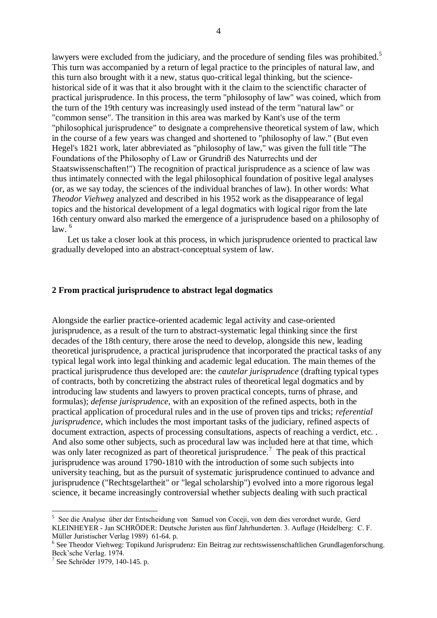lawyers were excluded from the judiciary, and the procedure of sending files was prohibited.<sup>5</sup> This turn was accompanied by a return of legal practice to the principles of natural law, and this turn also brought with it a new, status quo-critical legal thinking, but the sciencehistorical side of it was that it also brought with it the claim to the scienctific character of practical jurisprudence. In this process, the term "philosophy of law" was coined, which from the turn of the 19th century was increasingly used instead of the term "natural law" or "common sense". The transition in this area was marked by Kant's use of the term "philosophical jurisprudence" to designate a comprehensive theoretical system of law, which in the course of a few years was changed and shortened to "philosophy of law." (But even Hegel's 1821 work, later abbreviated as "philosophy of law," was given the full title "The Foundations of the Philosophy of Law or Grundriß des Naturrechts und der Staatswissenschaften!") The recognition of practical jurisprudence as a science of law was thus intimately connected with the legal philosophical foundation of positive legal analyses (or, as we say today, the sciences of the individual branches of law). In other words: What *Theodor Viehweg* analyzed and described in his 1952 work as the disappearance of legal topics and the historical development of a legal dogmatics with logical rigor from the late 16th century onward also marked the emergence of a jurisprudence based on a philosophy of  $law<sup>6</sup>$ 

 Let us take a closer look at this process, in which jurisprudence oriented to practical law gradually developed into an abstract-conceptual system of law.

## **2 From practical jurisprudence to abstract legal dogmatics**

Alongside the earlier practice-oriented academic legal activity and case-oriented jurisprudence, as a result of the turn to abstract-systematic legal thinking since the first decades of the 18th century, there arose the need to develop, alongside this new, leading theoretical jurisprudence, a practical jurisprudence that incorporated the practical tasks of any typical legal work into legal thinking and academic legal education. The main themes of the practical jurisprudence thus developed are: the *cautelar jurisprudence* (drafting typical types of contracts, both by concretizing the abstract rules of theoretical legal dogmatics and by introducing law students and lawyers to proven practical concepts, turns of phrase, and formulas); *defense jurisprudence*, with an exposition of the refined aspects, both in the practical application of procedural rules and in the use of proven tips and tricks; *referential jurisprudence*, which includes the most important tasks of the judiciary, refined aspects of document extraction, aspects of processing consultations, aspects of reaching a verdict, etc. . And also some other subjects, such as procedural law was included here at that time, which was only later recognized as part of theoretical jurisprudence.<sup>7</sup> The peak of this practical jurisprudence was around 1790-1810 with the introduction of some such subjects into university teaching, but as the pursuit of systematic jurisprudence continued to advance and jurisprudence ("Rechtsgelartheit" or "legal scholarship") evolved into a more rigorous legal science, it became increasingly controversial whether subjects dealing with such practical

<sup>&</sup>lt;sup>5</sup> See die Analyse über der Entscheidung von Samuel von Coceji, von dem dies verordnet wurde, Gerd KLEINHEYER - Jan SCHRÖDER: Deutsche Juristen aus fünf Jahrhunderten. 3. Auflage (Heidelberg: C. F. Müller Juristischer Verlag 1989) 61-64. p.

<sup>&</sup>lt;sup>6</sup> See Theodor Viehweg: Topikund Jurisprudenz: Ein Beitrag zur rechtswissenschaftlichen Grundlagenforschung. Beck'sche Verlag. 1974.

<sup>7</sup> See Schröder 1979, 140-145. p.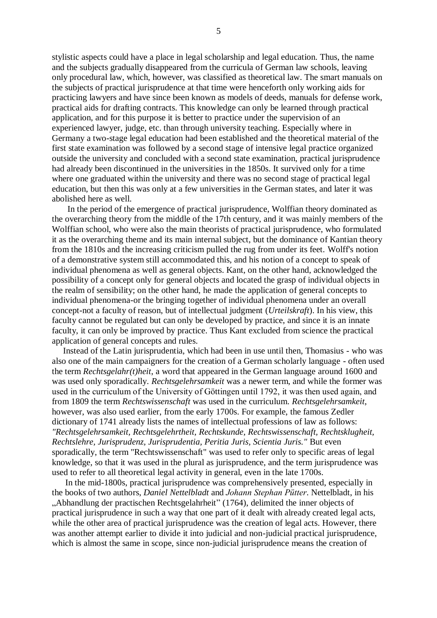stylistic aspects could have a place in legal scholarship and legal education. Thus, the name and the subjects gradually disappeared from the curricula of German law schools, leaving only procedural law, which, however, was classified as theoretical law. The smart manuals on the subjects of practical jurisprudence at that time were henceforth only working aids for practicing lawyers and have since been known as models of deeds, manuals for defense work, practical aids for drafting contracts. This knowledge can only be learned through practical application, and for this purpose it is better to practice under the supervision of an experienced lawyer, judge, etc. than through university teaching. Especially where in Germany a two-stage legal education had been established and the theoretical material of the first state examination was followed by a second stage of intensive legal practice organized outside the university and concluded with a second state examination, practical jurisprudence had already been discontinued in the universities in the 1850s. It survived only for a time where one graduated within the university and there was no second stage of practical legal education, but then this was only at a few universities in the German states, and later it was abolished here as well.

 In the period of the emergence of practical jurisprudence, Wolffian theory dominated as the overarching theory from the middle of the 17th century, and it was mainly members of the Wolffian school, who were also the main theorists of practical jurisprudence, who formulated it as the overarching theme and its main internal subject, but the dominance of Kantian theory from the 1810s and the increasing criticism pulled the rug from under its feet. Wolff's notion of a demonstrative system still accommodated this, and his notion of a concept to speak of individual phenomena as well as general objects. Kant, on the other hand, acknowledged the possibility of a concept only for general objects and located the grasp of individual objects in the realm of sensibility; on the other hand, he made the application of general concepts to individual phenomena-or the bringing together of individual phenomena under an overall concept-not a faculty of reason, but of intellectual judgment (*Urteilskraft*). In his view, this faculty cannot be regulated but can only be developed by practice, and since it is an innate faculty, it can only be improved by practice. Thus Kant excluded from science the practical application of general concepts and rules.

 Instead of the Latin jurisprudentia, which had been in use until then, Thomasius - who was also one of the main campaigners for the creation of a German scholarly language - often used the term *Rechtsgelahr(t)heit*, a word that appeared in the German language around 1600 and was used only sporadically. *Rechtsgelehrsamkeit* was a newer term, and while the former was used in the curriculum of the University of Göttingen until 1792, it was then used again, and from 1809 the term *Rechtswissenschaft* was used in the curriculum. *Rechtsgelehrsamkeit*, however, was also used earlier, from the early 1700s. For example, the famous Zedler dictionary of 1741 already lists the names of intellectual professions of law as follows: *"Rechtsgelehrsamkeit, Rechtsgelehrtheit, Rechtskunde, Rechtswissenschaft, Rechtsklugheit, Rechtslehre, Jurisprudenz, Jurisprudentia, Peritia Juris, Scientia Juris."* But even sporadically, the term "Rechtswissenschaft" was used to refer only to specific areas of legal knowledge, so that it was used in the plural as jurisprudence, and the term jurisprudence was used to refer to all theoretical legal activity in general, even in the late 1700s.

 In the mid-1800s, practical jurisprudence was comprehensively presented, especially in the books of two authors, *Daniel Nettelbladt* and *Johann Stephan Pütter*. Nettelbladt, in his "Abhandlung der practischen Rechtsgelahrheit" (1764), delimited the inner objects of practical jurisprudence in such a way that one part of it dealt with already created legal acts, while the other area of practical jurisprudence was the creation of legal acts. However, there was another attempt earlier to divide it into judicial and non-judicial practical jurisprudence, which is almost the same in scope, since non-judicial jurisprudence means the creation of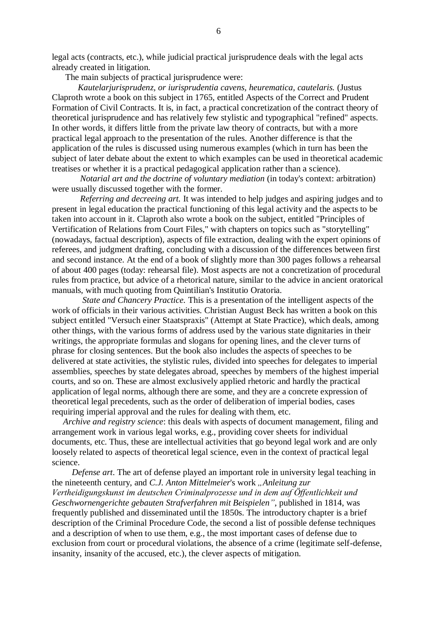legal acts (contracts, etc.), while judicial practical jurisprudence deals with the legal acts already created in litigation.

The main subjects of practical jurisprudence were:

 *Kautelarjurisprudenz, or iurisprudentia cavens, heurematica, cautelaris.* (Justus Claproth wrote a book on this subject in 1765, entitled Aspects of the Correct and Prudent Formation of Civil Contracts. It is, in fact, a practical concretization of the contract theory of theoretical jurisprudence and has relatively few stylistic and typographical "refined" aspects. In other words, it differs little from the private law theory of contracts, but with a more practical legal approach to the presentation of the rules. Another difference is that the application of the rules is discussed using numerous examples (which in turn has been the subject of later debate about the extent to which examples can be used in theoretical academic treatises or whether it is a practical pedagogical application rather than a science).

 *Notarial art and the doctrine of voluntary mediation* (in today's context: arbitration) were usually discussed together with the former.

 *Referring and decreeing art.* It was intended to help judges and aspiring judges and to present in legal education the practical functioning of this legal activity and the aspects to be taken into account in it. Claproth also wrote a book on the subject, entitled "Principles of Vertification of Relations from Court Files," with chapters on topics such as "storytelling" (nowadays, factual description), aspects of file extraction, dealing with the expert opinions of referees, and judgment drafting, concluding with a discussion of the differences between first and second instance. At the end of a book of slightly more than 300 pages follows a rehearsal of about 400 pages (today: rehearsal file). Most aspects are not a concretization of procedural rules from practice, but advice of a rhetorical nature, similar to the advice in ancient oratorical manuals, with much quoting from Quintilian's Institutio Oratoria.

 *State and Chancery Practice.* This is a presentation of the intelligent aspects of the work of officials in their various activities. Christian August Beck has written a book on this subject entitled "Versuch einer Staatspraxis" (Attempt at State Practice), which deals, among other things, with the various forms of address used by the various state dignitaries in their writings, the appropriate formulas and slogans for opening lines, and the clever turns of phrase for closing sentences. But the book also includes the aspects of speeches to be delivered at state activities, the stylistic rules, divided into speeches for delegates to imperial assemblies, speeches by state delegates abroad, speeches by members of the highest imperial courts, and so on. These are almost exclusively applied rhetoric and hardly the practical application of legal norms, although there are some, and they are a concrete expression of theoretical legal precedents, such as the order of deliberation of imperial bodies, cases requiring imperial approval and the rules for dealing with them, etc.

 *Archive and registry science*: this deals with aspects of document management, filing and arrangement work in various legal works, e.g., providing cover sheets for individual documents, etc. Thus, these are intellectual activities that go beyond legal work and are only loosely related to aspects of theoretical legal science, even in the context of practical legal science.

 *Defense art*. The art of defense played an important role in university legal teaching in the nineteenth century, and *C.J. Anton Mittelmeier's* work "Anleitung zur *Vertheidigungskunst im deutschen Criminalprozesse und in dem auf Öffentlichkeit und Geschwornengerichte gebauten Strafverfahren mit Beispielen"*, published in 1814, was frequently published and disseminated until the 1850s. The introductory chapter is a brief description of the Criminal Procedure Code, the second a list of possible defense techniques and a description of when to use them, e.g., the most important cases of defense due to exclusion from court or procedural violations, the absence of a crime (legitimate self-defense, insanity, insanity of the accused, etc.), the clever aspects of mitigation.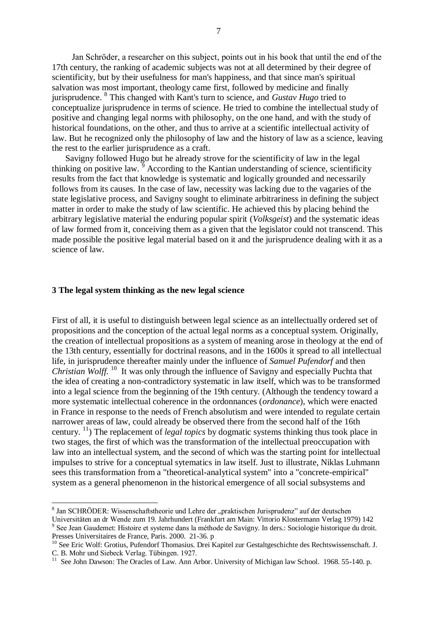Jan Schröder, a researcher on this subject, points out in his book that until the end of the 17th century, the ranking of academic subjects was not at all determined by their degree of scientificity, but by their usefulness for man's happiness, and that since man's spiritual salvation was most important, theology came first, followed by medicine and finally jurisprudence. 8 This changed with Kant's turn to science, and *Gustav Hugo* tried to conceptualize jurisprudence in terms of science. He tried to combine the intellectual study of positive and changing legal norms with philosophy, on the one hand, and with the study of historical foundations, on the other, and thus to arrive at a scientific intellectual activity of law. But he recognized only the philosophy of law and the history of law as a science, leaving the rest to the earlier jurisprudence as a craft.

 Savigny followed Hugo but he already strove for the scientificity of law in the legal thinking on positive law.  $\frac{5}{9}$  According to the Kantian understanding of science, scientificity results from the fact that knowledge is systematic and logically grounded and necessarily follows from its causes. In the case of law, necessity was lacking due to the vagaries of the state legislative process, and Savigny sought to eliminate arbitrariness in defining the subject matter in order to make the study of law scientific. He achieved this by placing behind the arbitrary legislative material the enduring popular spirit (*Volksgeist*) and the systematic ideas of law formed from it, conceiving them as a given that the legislator could not transcend. This made possible the positive legal material based on it and the jurisprudence dealing with it as a science of law.

#### **3 The legal system thinking as the new legal science**

<u>.</u>

First of all, it is useful to distinguish between legal science as an intellectually ordered set of propositions and the conception of the actual legal norms as a conceptual system. Originally, the creation of intellectual propositions as a system of meaning arose in theology at the end of the 13th century, essentially for doctrinal reasons, and in the 1600s it spread to all intellectual life, in jurisprudence thereafter mainly under the influence of *Samuel Pufendorf* and then *Christian Wolff.* <sup>10</sup> It was only through the influence of Savigny and especially Puchta that the idea of creating a non-contradictory systematic in law itself, which was to be transformed into a legal science from the beginning of the 19th century. (Although the tendency toward a more systematic intellectual coherence in the ordonnances (*ordonance*), which were enacted in France in response to the needs of French absolutism and were intended to regulate certain narrower areas of law, could already be observed there from the second half of the 16th century. <sup>11</sup>) The replacement of *legal topics* by dogmatic systems thinking thus took place in two stages, the first of which was the transformation of the intellectual preoccupation with law into an intellectual system, and the second of which was the starting point for intellectual impulses to strive for a conceptual sytematics in law itself. Just to illustrate, Niklas Luhmann sees this transformation from a "theoretical-analytical system" into a "concrete-empirical" system as a general phenomenon in the historical emergence of all social subsystems and

<sup>&</sup>lt;sup>8</sup> Jan SCHRÖDER: Wissenschaftstheorie und Lehre der "praktischen Jurisprudenz" auf der deutschen Universitäten an dr Wende zum 19. Jahrhundert (Frankfurt am Main: Vittorio Klostermann Verlag 1979) 142

<sup>&</sup>lt;sup>9</sup> See Jean Gaudemet: Histoire et systeme dans la méthode de Savigny. In ders.: Sociologie historique du droit. Presses Universitaires de France, Paris. 2000. 21-36. p

<sup>&</sup>lt;sup>10</sup> See Eric Wolf: Grotius, Pufendorf Thomasius. Drei Kapitel zur Gestaltgeschichte des Rechtswissenschaft. J. C. B. Mohr und Siebeck Verlag. Tübingen. 1927.

See John Dawson: The Oracles of Law. Ann Arbor. University of Michigan law School. 1968. 55-140. p.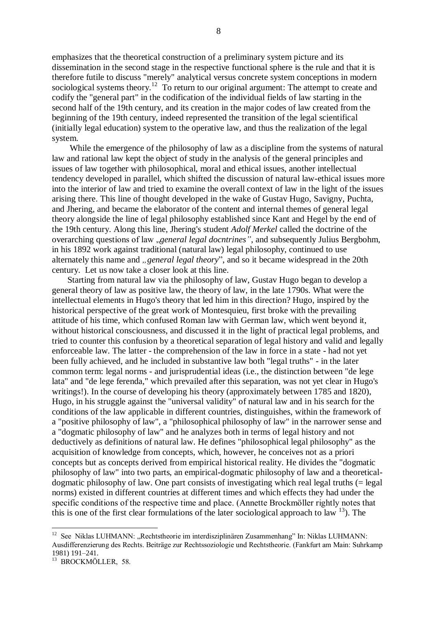emphasizes that the theoretical construction of a preliminary system picture and its dissemination in the second stage in the respective functional sphere is the rule and that it is therefore futile to discuss "merely" analytical versus concrete system conceptions in modern sociological systems theory.<sup>12</sup> To return to our original argument: The attempt to create and codify the "general part" in the codification of the individual fields of law starting in the second half of the 19th century, and its creation in the major codes of law created from the beginning of the 19th century, indeed represented the transition of the legal scientifical (initially legal education) system to the operative law, and thus the realization of the legal system.

 While the emergence of the philosophy of law as a discipline from the systems of natural law and rational law kept the object of study in the analysis of the general principles and issues of law together with philosophical, moral and ethical issues, another intellectual tendency developed in parallel, which shifted the discussion of natural law-ethical issues more into the interior of law and tried to examine the overall context of law in the light of the issues arising there. This line of thought developed in the wake of Gustav Hugo, Savigny, Puchta, and Jhering, and became the elaborator of the content and internal themes of general legal theory alongside the line of legal philosophy established since Kant and Hegel by the end of the 19th century. Along this line, Jhering's student *Adolf Merkel* called the doctrine of the overarching questions of law *"general legal docntrines*", and subsequently Julius Bergbohm, in his 1892 work against traditional (natural law) legal philosophy, continued to use alternately this name and *"general legal theory*", and so it became widespread in the 20th century. Let us now take a closer look at this line.

 Starting from natural law via the philosophy of law, Gustav Hugo began to develop a general theory of law as positive law, the theory of law, in the late 1790s. What were the intellectual elements in Hugo's theory that led him in this direction? Hugo, inspired by the historical perspective of the great work of Montesquieu, first broke with the prevailing attitude of his time, which confused Roman law with German law, which went beyond it, without historical consciousness, and discussed it in the light of practical legal problems, and tried to counter this confusion by a theoretical separation of legal history and valid and legally enforceable law. The latter - the comprehension of the law in force in a state - had not yet been fully achieved, and he included in substantive law both "legal truths" - in the later common term: legal norms - and jurisprudential ideas (i.e., the distinction between "de lege lata" and "de lege ferenda," which prevailed after this separation, was not yet clear in Hugo's writings!). In the course of developing his theory (approximately between 1785 and 1820), Hugo, in his struggle against the "universal validity" of natural law and in his search for the conditions of the law applicable in different countries, distinguishes, within the framework of a "positive philosophy of law", a "philosophical philosophy of law" in the narrower sense and a "dogmatic philosophy of law" and he analyzes both in terms of legal history and not deductively as definitions of natural law. He defines "philosophical legal philosophy" as the acquisition of knowledge from concepts, which, however, he conceives not as a priori concepts but as concepts derived from empirical historical reality. He divides the "dogmatic philosophy of law" into two parts, an empirical-dogmatic philosophy of law and a theoreticaldogmatic philosophy of law. One part consists of investigating which real legal truths (= legal norms) existed in different countries at different times and which effects they had under the specific conditions of the respective time and place. (Annette Brockmöller rightly notes that this is one of the first clear formulations of the later sociological approach to law  $13$ ). The

<sup>12</sup> See Niklas LUHMANN: "Rechtstheorie im interdisziplinären Zusammenhang" In: Niklas LUHMANN: Ausdifferenzierung des Rechts. Beiträge zur Rechtssoziologie und Rechtstheorie. (Fankfurt am Main: Suhrkamp 1981) 191–241.

<sup>&</sup>lt;sup>13</sup> BROCKMÖLLER, 58.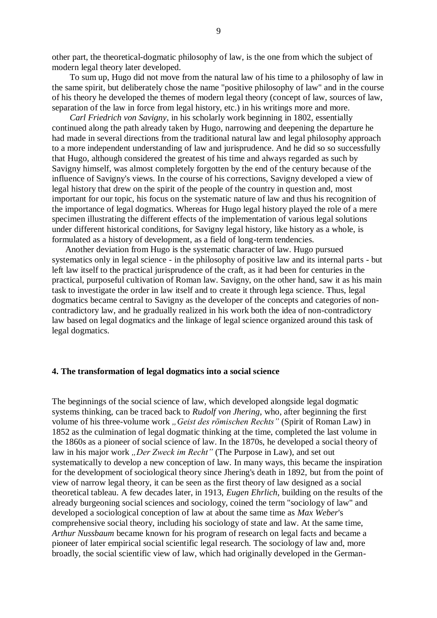other part, the theoretical-dogmatic philosophy of law, is the one from which the subject of modern legal theory later developed.

 To sum up, Hugo did not move from the natural law of his time to a philosophy of law in the same spirit, but deliberately chose the name "positive philosophy of law" and in the course of his theory he developed the themes of modern legal theory (concept of law, sources of law, separation of the law in force from legal history, etc.) in his writings more and more.

 *Carl Friedrich von Savigny*, in his scholarly work beginning in 1802, essentially continued along the path already taken by Hugo, narrowing and deepening the departure he had made in several directions from the traditional natural law and legal philosophy approach to a more independent understanding of law and jurisprudence. And he did so so successfully that Hugo, although considered the greatest of his time and always regarded as such by Savigny himself, was almost completely forgotten by the end of the century because of the influence of Savigny's views. In the course of his corrections, Savigny developed a view of legal history that drew on the spirit of the people of the country in question and, most important for our topic, his focus on the systematic nature of law and thus his recognition of the importance of legal dogmatics. Whereas for Hugo legal history played the role of a mere specimen illustrating the different effects of the implementation of various legal solutions under different historical conditions, for Savigny legal history, like history as a whole, is formulated as a history of development, as a field of long-term tendencies.

 Another deviation from Hugo is the systematic character of law. Hugo pursued systematics only in legal science - in the philosophy of positive law and its internal parts - but left law itself to the practical jurisprudence of the craft, as it had been for centuries in the practical, purposeful cultivation of Roman law. Savigny, on the other hand, saw it as his main task to investigate the order in law itself and to create it through lega science. Thus, legal dogmatics became central to Savigny as the developer of the concepts and categories of noncontradictory law, and he gradually realized in his work both the idea of non-contradictory law based on legal dogmatics and the linkage of legal science organized around this task of legal dogmatics.

## **4. The transformation of legal dogmatics into a social science**

The beginnings of the social science of law, which developed alongside legal dogmatic systems thinking, can be traced back to *Rudolf von Jhering*, who, after beginning the first volume of his three-volume work *"Geist des römischen Rechts*" (Spirit of Roman Law) in 1852 as the culmination of legal dogmatic thinking at the time, completed the last volume in the 1860s as a pioneer of social science of law. In the 1870s, he developed a social theory of law in his major work "Der Zweck im Recht" (The Purpose in Law), and set out systematically to develop a new conception of law. In many ways, this became the inspiration for the development of sociological theory since Jhering's death in 1892, but from the point of view of narrow legal theory, it can be seen as the first theory of law designed as a social theoretical tableau. A few decades later, in 1913, *Eugen Ehrlich*, building on the results of the already burgeoning social sciences and sociology, coined the term "sociology of law" and developed a sociological conception of law at about the same time as *Max Weber*'s comprehensive social theory, including his sociology of state and law. At the same time, *Arthur Nussbaum* became known for his program of research on legal facts and became a pioneer of later empirical social scientific legal research. The sociology of law and, more broadly, the social scientific view of law, which had originally developed in the German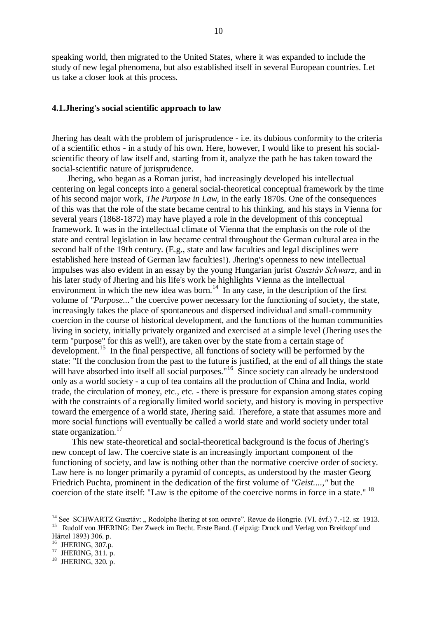speaking world, then migrated to the United States, where it was expanded to include the study of new legal phenomena, but also established itself in several European countries. Let us take a closer look at this process.

## **4.1.Jhering's social scientific approach to law**

Jhering has dealt with the problem of jurisprudence - i.e. its dubious conformity to the criteria of a scientific ethos - in a study of his own. Here, however, I would like to present his socialscientific theory of law itself and, starting from it, analyze the path he has taken toward the social-scientific nature of jurisprudence.

 Jhering, who began as a Roman jurist, had increasingly developed his intellectual centering on legal concepts into a general social-theoretical conceptual framework by the time of his second major work, *The Purpose in Law*, in the early 1870s. One of the consequences of this was that the role of the state became central to his thinking, and his stays in Vienna for several years (1868-1872) may have played a role in the development of this conceptual framework. It was in the intellectual climate of Vienna that the emphasis on the role of the state and central legislation in law became central throughout the German cultural area in the second half of the 19th century. (E.g., state and law faculties and legal disciplines were established here instead of German law faculties!). Jhering's openness to new intellectual impulses was also evident in an essay by the young Hungarian jurist *Gusztáv Schwarz*, and in his later study of Jhering and his life's work he highlights Vienna as the intellectual environment in which the new idea was born.<sup>14</sup> In any case, in the description of the first volume of *"Purpose..."* the coercive power necessary for the functioning of society, the state, increasingly takes the place of spontaneous and dispersed individual and small-community coercion in the course of historical development, and the functions of the human communities living in society, initially privately organized and exercised at a simple level (Jhering uses the term "purpose" for this as well!), are taken over by the state from a certain stage of development.<sup>15</sup> In the final perspective, all functions of society will be performed by the state: "If the conclusion from the past to the future is justified, at the end of all things the state will have absorbed into itself all social purposes."<sup>16</sup> Since society can already be understood only as a world society - a cup of tea contains all the production of China and India, world trade, the circulation of money, etc., etc. - there is pressure for expansion among states coping with the constraints of a regionally limited world society, and history is moving in perspective toward the emergence of a world state, Jhering said. Therefore, a state that assumes more and more social functions will eventually be called a world state and world society under total state organization.<sup>17</sup>

 This new state-theoretical and social-theoretical background is the focus of Jhering's new concept of law. The coercive state is an increasingly important component of the functioning of society, and law is nothing other than the normative coercive order of society. Law here is no longer primarily a pyramid of concepts, as understood by the master Georg Friedrich Puchta, prominent in the dedication of the first volume of *"Geist....,"* but the coercion of the state itself: "Law is the epitome of the coercive norms in force in a state." <sup>18</sup>

1

<sup>&</sup>lt;sup>14</sup> See SCHWARTZ Gusztáv: "Rodolphe Ihering et son oeuvre". Revue de Hongrie. (VI. évf.) 7.-12. sz 1913. <sup>15</sup> Rudolf von JHERING: Der Zweck im Recht. Erste Band. (Leipzig: Druck und Verlag von Breitkopf und Härtel 1893) 306. p.

<sup>&</sup>lt;sup>16</sup> JHERING, 307.p.

<sup>&</sup>lt;sup>17</sup> JHERING, 311. p.

<sup>&</sup>lt;sup>18</sup> JHERING, 320. p.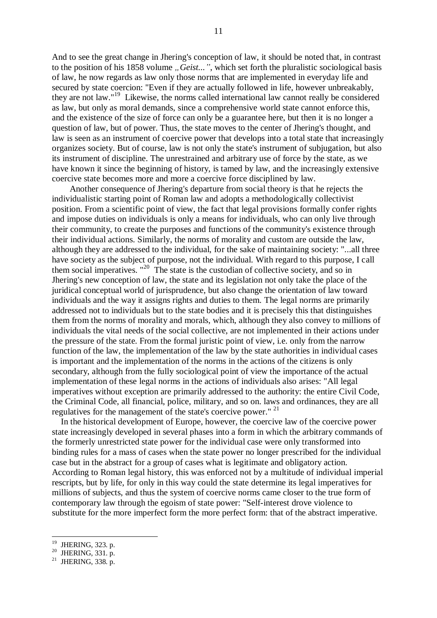And to see the great change in Jhering's conception of law, it should be noted that, in contrast to the position of his 1858 volume *"Geist...*", which set forth the pluralistic sociological basis of law, he now regards as law only those norms that are implemented in everyday life and secured by state coercion: "Even if they are actually followed in life, however unbreakably, they are not law."<sup>19</sup> Likewise, the norms called international law cannot really be considered as law, but only as moral demands, since a comprehensive world state cannot enforce this, and the existence of the size of force can only be a guarantee here, but then it is no longer a question of law, but of power. Thus, the state moves to the center of Jhering's thought, and law is seen as an instrument of coercive power that develops into a total state that increasingly organizes society. But of course, law is not only the state's instrument of subjugation, but also its instrument of discipline. The unrestrained and arbitrary use of force by the state, as we have known it since the beginning of history, is tamed by law, and the increasingly extensive coercive state becomes more and more a coercive force disciplined by law.

 Another consequence of Jhering's departure from social theory is that he rejects the individualistic starting point of Roman law and adopts a methodologically collectivist position. From a scientific point of view, the fact that legal provisions formally confer rights and impose duties on individuals is only a means for individuals, who can only live through their community, to create the purposes and functions of the community's existence through their individual actions. Similarly, the norms of morality and custom are outside the law, although they are addressed to the individual, for the sake of maintaining society: "...all three have society as the subject of purpose, not the individual. With regard to this purpose, I call them social imperatives. "<sup>20</sup> The state is the custodian of collective society, and so in Jhering's new conception of law, the state and its legislation not only take the place of the juridical conceptual world of jurisprudence, but also change the orientation of law toward individuals and the way it assigns rights and duties to them. The legal norms are primarily addressed not to individuals but to the state bodies and it is precisely this that distinguishes them from the norms of morality and morals, which, although they also convey to millions of individuals the vital needs of the social collective, are not implemented in their actions under the pressure of the state. From the formal juristic point of view, i.e. only from the narrow function of the law, the implementation of the law by the state authorities in individual cases is important and the implementation of the norms in the actions of the citizens is only secondary, although from the fully sociological point of view the importance of the actual implementation of these legal norms in the actions of individuals also arises: "All legal imperatives without exception are primarily addressed to the authority: the entire Civil Code, the Criminal Code, all financial, police, military, and so on. laws and ordinances, they are all regulatives for the management of the state's coercive power." <sup>21</sup>

 In the historical development of Europe, however, the coercive law of the coercive power state increasingly developed in several phases into a form in which the arbitrary commands of the formerly unrestricted state power for the individual case were only transformed into binding rules for a mass of cases when the state power no longer prescribed for the individual case but in the abstract for a group of cases what is legitimate and obligatory action. According to Roman legal history, this was enforced not by a multitude of individual imperial rescripts, but by life, for only in this way could the state determine its legal imperatives for millions of subjects, and thus the system of coercive norms came closer to the true form of contemporary law through the egoism of state power: "Self-interest drove violence to substitute for the more imperfect form the more perfect form: that of the abstract imperative.

<sup>19</sup> JHERING, 323. p.

 $^{20}$  JHERING, 331. p.

 $^{21}$  JHERING, 338. p.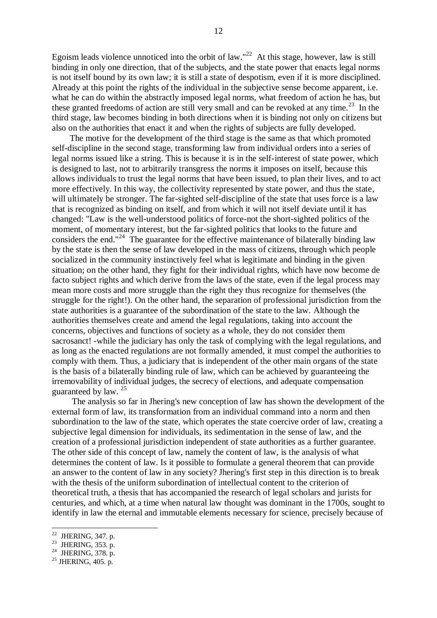Egoism leads violence unnoticed into the orbit of law."<sup>22</sup> At this stage, however, law is still binding in only one direction, that of the subjects, and the state power that enacts legal norms is not itself bound by its own law; it is still a state of despotism, even if it is more disciplined. Already at this point the rights of the individual in the subjective sense become apparent, i.e. what he can do within the abstractly imposed legal norms, what freedom of action he has, but these granted freedoms of action are still very small and can be revoked at any time.<sup>23</sup> In the third stage, law becomes binding in both directions when it is binding not only on citizens but also on the authorities that enact it and when the rights of subjects are fully developed.

 The motive for the development of the third stage is the same as that which promoted self-discipline in the second stage, transforming law from individual orders into a series of legal norms issued like a string. This is because it is in the self-interest of state power, which is designed to last, not to arbitrarily transgress the norms it imposes on itself, because this allows individuals to trust the legal norms that have been issued, to plan their lives, and to act more effectively. In this way, the collectivity represented by state power, and thus the state, will ultimately be stronger. The far-sighted self-discipline of the state that uses force is a law that is recognized as binding on itself, and from which it will not itself deviate until it has changed: "Law is the well-understood politics of force-not the short-sighted politics of the moment, of momentary interest, but the far-sighted politics that looks to the future and considers the end."<sup>24</sup> The guarantee for the effective maintenance of bilaterally binding law by the state is then the sense of law developed in the mass of citizens, through which people socialized in the community instinctively feel what is legitimate and binding in the given situation; on the other hand, they fight for their individual rights, which have now become de facto subject rights and which derive from the laws of the state, even if the legal process may mean more costs and more struggle than the right they thus recognize for themselves (the struggle for the right!). On the other hand, the separation of professional jurisdiction from the state authorities is a guarantee of the subordination of the state to the law. Although the authorities themselves create and amend the legal regulations, taking into account the concerns, objectives and functions of society as a whole, they do not consider them sacrosanct! -while the judiciary has only the task of complying with the legal regulations, and as long as the enacted regulations are not formally amended, it must compel the authorities to comply with them. Thus, a judiciary that is independent of the other main organs of the state is the basis of a bilaterally binding rule of law, which can be achieved by guaranteeing the irremovability of individual judges, the secrecy of elections, and adequate compensation guaranteed by law. <sup>25</sup>

 The analysis so far in Jhering's new conception of law has shown the development of the external form of law, its transformation from an individual command into a norm and then subordination to the law of the state, which operates the state coercive order of law, creating a subjective legal dimension for individuals, its sedimentation in the sense of law, and the creation of a professional jurisdiction independent of state authorities as a further guarantee. The other side of this concept of law, namely the content of law, is the analysis of what determines the content of law. Is it possible to formulate a general theorem that can provide an answer to the content of law in any society? Jhering's first step in this direction is to break with the thesis of the uniform subordination of intellectual content to the criterion of theoretical truth, a thesis that has accompanied the research of legal scholars and jurists for centuries, and which, at a time when natural law thought was dominant in the 1700s, sought to identify in law the eternal and immutable elements necessary for science, precisely because of

<sup>&</sup>lt;sup>22</sup> JHERING, 347. p.

<sup>&</sup>lt;sup>23</sup> JHERING, 353. p.<br><sup>24</sup> JHERING, 378. p.

 $^{25}$  JHERING, 405. p.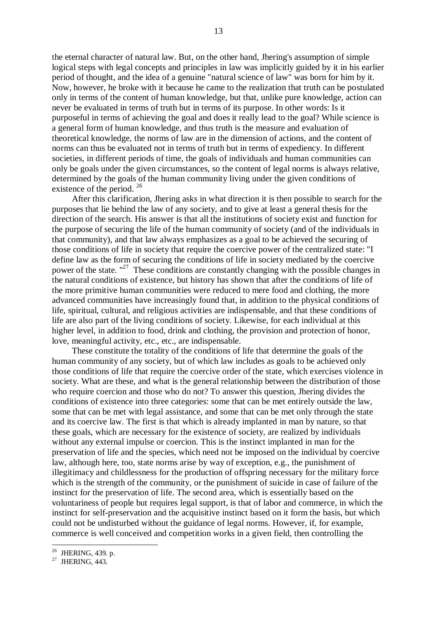the eternal character of natural law. But, on the other hand, Jhering's assumption of simple logical steps with legal concepts and principles in law was implicitly guided by it in his earlier period of thought, and the idea of a genuine "natural science of law" was born for him by it. Now, however, he broke with it because he came to the realization that truth can be postulated only in terms of the content of human knowledge, but that, unlike pure knowledge, action can never be evaluated in terms of truth but in terms of its purpose. In other words: Is it purposeful in terms of achieving the goal and does it really lead to the goal? While science is a general form of human knowledge, and thus truth is the measure and evaluation of theoretical knowledge, the norms of law are in the dimension of actions, and the content of norms can thus be evaluated not in terms of truth but in terms of expediency. In different societies, in different periods of time, the goals of individuals and human communities can only be goals under the given circumstances, so the content of legal norms is always relative, determined by the goals of the human community living under the given conditions of existence of the period. <sup>26</sup>

 After this clarification, Jhering asks in what direction it is then possible to search for the purposes that lie behind the law of any society, and to give at least a general thesis for the direction of the search. His answer is that all the institutions of society exist and function for the purpose of securing the life of the human community of society (and of the individuals in that community), and that law always emphasizes as a goal to be achieved the securing of those conditions of life in society that require the coercive power of the centralized state: "I define law as the form of securing the conditions of life in society mediated by the coercive power of the state. "<sup>27</sup> These conditions are constantly changing with the possible changes in the natural conditions of existence, but history has shown that after the conditions of life of the more primitive human communities were reduced to mere food and clothing, the more advanced communities have increasingly found that, in addition to the physical conditions of life, spiritual, cultural, and religious activities are indispensable, and that these conditions of life are also part of the living conditions of society. Likewise, for each individual at this higher level, in addition to food, drink and clothing, the provision and protection of honor, love, meaningful activity, etc., etc., are indispensable.

 These constitute the totality of the conditions of life that determine the goals of the human community of any society, but of which law includes as goals to be achieved only those conditions of life that require the coercive order of the state, which exercises violence in society. What are these, and what is the general relationship between the distribution of those who require coercion and those who do not? To answer this question, Jhering divides the conditions of existence into three categories: some that can be met entirely outside the law, some that can be met with legal assistance, and some that can be met only through the state and its coercive law. The first is that which is already implanted in man by nature, so that these goals, which are necessary for the existence of society, are realized by individuals without any external impulse or coercion. This is the instinct implanted in man for the preservation of life and the species, which need not be imposed on the individual by coercive law, although here, too, state norms arise by way of exception, e.g., the punishment of illegitimacy and childlessness for the production of offspring necessary for the military force which is the strength of the community, or the punishment of suicide in case of failure of the instinct for the preservation of life. The second area, which is essentially based on the voluntariness of people but requires legal support, is that of labor and commerce, in which the instinct for self-preservation and the acquisitive instinct based on it form the basis, but which could not be undisturbed without the guidance of legal norms. However, if, for example, commerce is well conceived and competition works in a given field, then controlling the

 $^{26}$  JHERING, 439. p.

 $27$  JHERING, 443.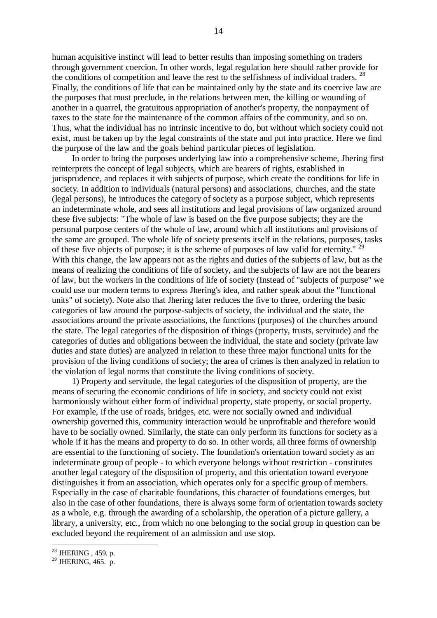human acquisitive instinct will lead to better results than imposing something on traders through government coercion. In other words, legal regulation here should rather provide for the conditions of competition and leave the rest to the selfishness of individual traders. <sup>28</sup> Finally, the conditions of life that can be maintained only by the state and its coercive law are the purposes that must preclude, in the relations between men, the killing or wounding of another in a quarrel, the gratuitous appropriation of another's property, the nonpayment of taxes to the state for the maintenance of the common affairs of the community, and so on. Thus, what the individual has no intrinsic incentive to do, but without which society could not exist, must be taken up by the legal constraints of the state and put into practice. Here we find the purpose of the law and the goals behind particular pieces of legislation.

 In order to bring the purposes underlying law into a comprehensive scheme, Jhering first reinterprets the concept of legal subjects, which are bearers of rights, established in jurisprudence, and replaces it with subjects of purpose, which create the conditions for life in society. In addition to individuals (natural persons) and associations, churches, and the state (legal persons), he introduces the category of society as a purpose subject, which represents an indeterminate whole, and sees all institutions and legal provisions of law organized around these five subjects: "The whole of law is based on the five purpose subjects; they are the personal purpose centers of the whole of law, around which all institutions and provisions of the same are grouped. The whole life of society presents itself in the relations, purposes, tasks of these five objects of purpose; it is the scheme of purposes of law valid for eternity."  $^{29}$ With this change, the law appears not as the rights and duties of the subjects of law, but as the means of realizing the conditions of life of society, and the subjects of law are not the bearers of law, but the workers in the conditions of life of society (Instead of "subjects of purpose" we could use our modern terms to express Jhering's idea, and rather speak about the "functional units" of society). Note also that Jhering later reduces the five to three, ordering the basic categories of law around the purpose-subjects of society, the individual and the state, the associations around the private associations, the functions (purposes) of the churches around the state. The legal categories of the disposition of things (property, trusts, servitude) and the categories of duties and obligations between the individual, the state and society (private law duties and state duties) are analyzed in relation to these three major functional units for the provision of the living conditions of society; the area of crimes is then analyzed in relation to the violation of legal norms that constitute the living conditions of society.

 1) Property and servitude, the legal categories of the disposition of property, are the means of securing the economic conditions of life in society, and society could not exist harmoniously without either form of individual property, state property, or social property. For example, if the use of roads, bridges, etc. were not socially owned and individual ownership governed this, community interaction would be unprofitable and therefore would have to be socially owned. Similarly, the state can only perform its functions for society as a whole if it has the means and property to do so. In other words, all three forms of ownership are essential to the functioning of society. The foundation's orientation toward society as an indeterminate group of people - to which everyone belongs without restriction - constitutes another legal category of the disposition of property, and this orientation toward everyone distinguishes it from an association, which operates only for a specific group of members. Especially in the case of charitable foundations, this character of foundations emerges, but also in the case of other foundations, there is always some form of orientation towards society as a whole, e.g. through the awarding of a scholarship, the operation of a picture gallery, a library, a university, etc., from which no one belonging to the social group in question can be excluded beyond the requirement of an admission and use stop.

<sup>&</sup>lt;sup>28</sup> JHERING, 459. p.

 $^{29}$  JHERING, 465. p.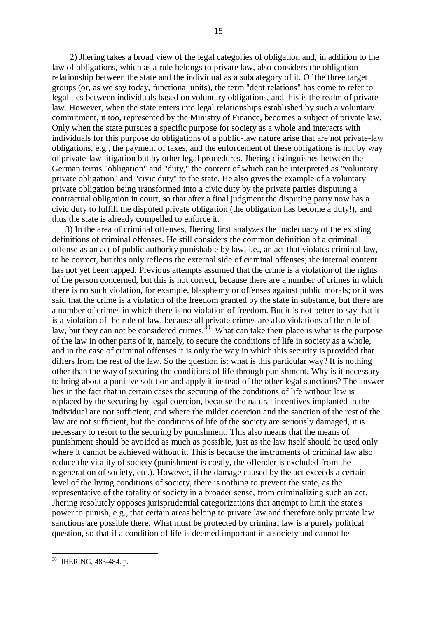2) Jhering takes a broad view of the legal categories of obligation and, in addition to the law of obligations, which as a rule belongs to private law, also considers the obligation relationship between the state and the individual as a subcategory of it. Of the three target groups (or, as we say today, functional units), the term "debt relations" has come to refer to legal ties between individuals based on voluntary obligations, and this is the realm of private law. However, when the state enters into legal relationships established by such a voluntary commitment, it too, represented by the Ministry of Finance, becomes a subject of private law. Only when the state pursues a specific purpose for society as a whole and interacts with individuals for this purpose do obligations of a public-law nature arise that are not private-law obligations, e.g., the payment of taxes, and the enforcement of these obligations is not by way of private-law litigation but by other legal procedures. Jhering distinguishes between the German terms "obligation" and "duty," the content of which can be interpreted as "voluntary private obligation" and "civic duty" to the state. He also gives the example of a voluntary private obligation being transformed into a civic duty by the private parties disputing a contractual obligation in court, so that after a final judgment the disputing party now has a civic duty to fulfill the disputed private obligation (the obligation has become a duty!), and thus the state is already compelled to enforce it.

 3) In the area of criminal offenses, Jhering first analyzes the inadequacy of the existing definitions of criminal offenses. He still considers the common definition of a criminal offense as an act of public authority punishable by law, i.e., an act that violates criminal law, to be correct, but this only reflects the external side of criminal offenses; the internal content has not yet been tapped. Previous attempts assumed that the crime is a violation of the rights of the person concerned, but this is not correct, because there are a number of crimes in which there is no such violation, for example, blasphemy or offenses against public morals; or it was said that the crime is a violation of the freedom granted by the state in substance, but there are a number of crimes in which there is no violation of freedom. But it is not better to say that it is a violation of the rule of law, because all private crimes are also violations of the rule of law, but they can not be considered crimes.<sup>30</sup> What can take their place is what is the purpose of the law in other parts of it, namely, to secure the conditions of life in society as a whole, and in the case of criminal offenses it is only the way in which this security is provided that differs from the rest of the law. So the question is: what is this particular way? It is nothing other than the way of securing the conditions of life through punishment. Why is it necessary to bring about a punitive solution and apply it instead of the other legal sanctions? The answer lies in the fact that in certain cases the securing of the conditions of life without law is replaced by the securing by legal coercion, because the natural incentives implanted in the individual are not sufficient, and where the milder coercion and the sanction of the rest of the law are not sufficient, but the conditions of life of the society are seriously damaged, it is necessary to resort to the securing by punishment. This also means that the means of punishment should be avoided as much as possible, just as the law itself should be used only where it cannot be achieved without it. This is because the instruments of criminal law also reduce the vitality of society (punishment is costly, the offender is excluded from the regeneration of society, etc.). However, if the damage caused by the act exceeds a certain level of the living conditions of society, there is nothing to prevent the state, as the representative of the totality of society in a broader sense, from criminalizing such an act. Jhering resolutely opposes jurisprudential categorizations that attempt to limit the state's power to punish, e.g., that certain areas belong to private law and therefore only private law sanctions are possible there. What must be protected by criminal law is a purely political question, so that if a condition of life is deemed important in a society and cannot be

<sup>1</sup>  $30$  JHERING, 483-484. p.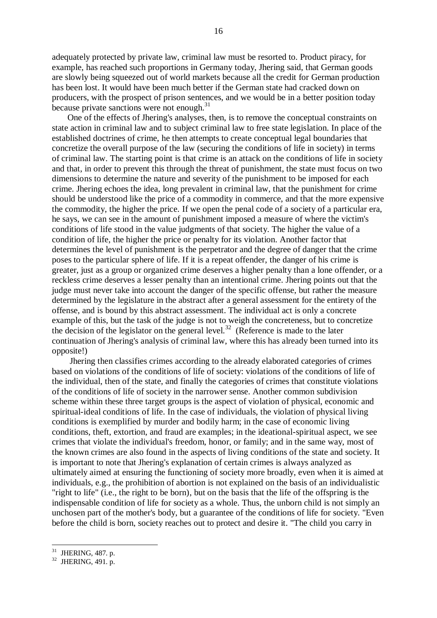adequately protected by private law, criminal law must be resorted to. Product piracy, for example, has reached such proportions in Germany today, Jhering said, that German goods are slowly being squeezed out of world markets because all the credit for German production has been lost. It would have been much better if the German state had cracked down on producers, with the prospect of prison sentences, and we would be in a better position today because private sanctions were not enough.<sup>31</sup>

 One of the effects of Jhering's analyses, then, is to remove the conceptual constraints on state action in criminal law and to subject criminal law to free state legislation. In place of the established doctrines of crime, he then attempts to create conceptual legal boundaries that concretize the overall purpose of the law (securing the conditions of life in society) in terms of criminal law. The starting point is that crime is an attack on the conditions of life in society and that, in order to prevent this through the threat of punishment, the state must focus on two dimensions to determine the nature and severity of the punishment to be imposed for each crime. Jhering echoes the idea, long prevalent in criminal law, that the punishment for crime should be understood like the price of a commodity in commerce, and that the more expensive the commodity, the higher the price. If we open the penal code of a society of a particular era, he says, we can see in the amount of punishment imposed a measure of where the victim's conditions of life stood in the value judgments of that society. The higher the value of a condition of life, the higher the price or penalty for its violation. Another factor that determines the level of punishment is the perpetrator and the degree of danger that the crime poses to the particular sphere of life. If it is a repeat offender, the danger of his crime is greater, just as a group or organized crime deserves a higher penalty than a lone offender, or a reckless crime deserves a lesser penalty than an intentional crime. Jhering points out that the judge must never take into account the danger of the specific offense, but rather the measure determined by the legislature in the abstract after a general assessment for the entirety of the offense, and is bound by this abstract assessment. The individual act is only a concrete example of this, but the task of the judge is not to weigh the concreteness, but to concretize the decision of the legislator on the general level.<sup>32</sup> (Reference is made to the later continuation of Jhering's analysis of criminal law, where this has already been turned into its opposite!)

 Jhering then classifies crimes according to the already elaborated categories of crimes based on violations of the conditions of life of society: violations of the conditions of life of the individual, then of the state, and finally the categories of crimes that constitute violations of the conditions of life of society in the narrower sense. Another common subdivision scheme within these three target groups is the aspect of violation of physical, economic and spiritual-ideal conditions of life. In the case of individuals, the violation of physical living conditions is exemplified by murder and bodily harm; in the case of economic living conditions, theft, extortion, and fraud are examples; in the ideational-spiritual aspect, we see crimes that violate the individual's freedom, honor, or family; and in the same way, most of the known crimes are also found in the aspects of living conditions of the state and society. It is important to note that Jhering's explanation of certain crimes is always analyzed as ultimately aimed at ensuring the functioning of society more broadly, even when it is aimed at individuals, e.g., the prohibition of abortion is not explained on the basis of an individualistic "right to life" (i.e., the right to be born), but on the basis that the life of the offspring is the indispensable condition of life for society as a whole. Thus, the unborn child is not simply an unchosen part of the mother's body, but a guarantee of the conditions of life for society. "Even before the child is born, society reaches out to protect and desire it. "The child you carry in

 $31$  JHERING, 487. p.

 $32$  JHERING, 491. p.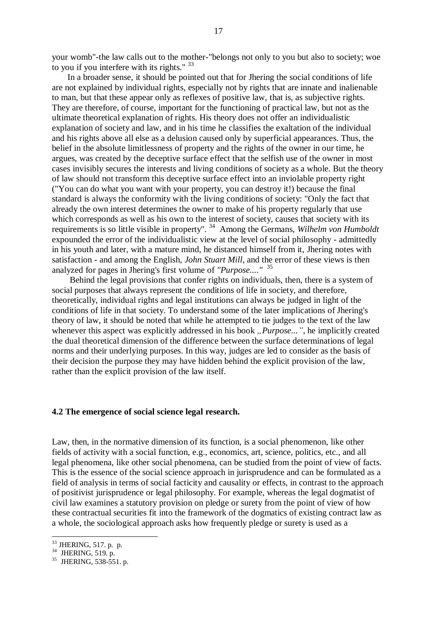your womb"-the law calls out to the mother-"belongs not only to you but also to society; woe to you if you interfere with its rights."  $33$ 

 In a broader sense, it should be pointed out that for Jhering the social conditions of life are not explained by individual rights, especially not by rights that are innate and inalienable to man, but that these appear only as reflexes of positive law, that is, as subjective rights. They are therefore, of course, important for the functioning of practical law, but not as the ultimate theoretical explanation of rights. His theory does not offer an individualistic explanation of society and law, and in his time he classifies the exaltation of the individual and his rights above all else as a delusion caused only by superficial appearances. Thus, the belief in the absolute limitlessness of property and the rights of the owner in our time, he argues, was created by the deceptive surface effect that the selfish use of the owner in most cases invisibly secures the interests and living conditions of society as a whole. But the theory of law should not transform this deceptive surface effect into an inviolable property right ("You can do what you want with your property, you can destroy it!) because the final standard is always the conformity with the living conditions of society: "Only the fact that already the own interest determines the owner to make of his property regularly that use which corresponds as well as his own to the interest of society, causes that society with its requirements is so little visible in property". <sup>34</sup> Among the Germans, *Wilhelm von Humboldt* expounded the error of the individualistic view at the level of social philosophy - admittedly in his youth and later, with a mature mind, he distanced himself from it, Jhering notes with satisfaction - and among the English, *John Stuart Mill*, and the error of these views is then analyzed for pages in Jhering's first volume of *"Purpose...."* 35

 Behind the legal provisions that confer rights on individuals, then, there is a system of social purposes that always represent the conditions of life in society, and therefore, theoretically, individual rights and legal institutions can always be judged in light of the conditions of life in that society. To understand some of the later implications of Jhering's theory of law, it should be noted that while he attempted to tie judges to the text of the law whenever this aspect was explicitly addressed in his book *"Purpose*...", he implicitly created the dual theoretical dimension of the difference between the surface determinations of legal norms and their underlying purposes. In this way, judges are led to consider as the basis of their decision the purpose they may have hidden behind the explicit provision of the law, rather than the explicit provision of the law itself.

#### **4.2 The emergence of social science legal research.**

Law, then, in the normative dimension of its function, is a social phenomenon, like other fields of activity with a social function, e.g., economics, art, science, politics, etc., and all legal phenomena, like other social phenomena, can be studied from the point of view of facts. This is the essence of the social science approach in jurisprudence and can be formulated as a field of analysis in terms of social facticity and causality or effects, in contrast to the approach of positivist jurisprudence or legal philosophy. For example, whereas the legal dogmatist of civil law examines a statutory provision on pledge or surety from the point of view of how these contractual securities fit into the framework of the dogmatics of existing contract law as a whole, the sociological approach asks how frequently pledge or surety is used as a

 $33$  JHERING, 517. p. p.

<sup>&</sup>lt;sup>34</sup> JHERING, 519. p.

 $35$  JHERING, 538-551, p.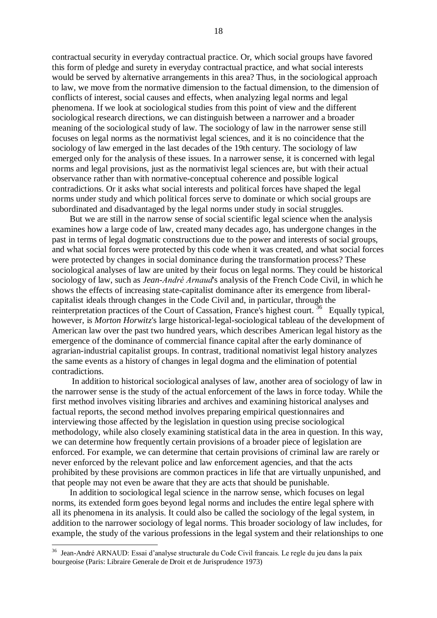contractual security in everyday contractual practice. Or, which social groups have favored this form of pledge and surety in everyday contractual practice, and what social interests would be served by alternative arrangements in this area? Thus, in the sociological approach to law, we move from the normative dimension to the factual dimension, to the dimension of conflicts of interest, social causes and effects, when analyzing legal norms and legal phenomena. If we look at sociological studies from this point of view and the different sociological research directions, we can distinguish between a narrower and a broader meaning of the sociological study of law. The sociology of law in the narrower sense still focuses on legal norms as the normativist legal sciences, and it is no coincidence that the sociology of law emerged in the last decades of the 19th century. The sociology of law emerged only for the analysis of these issues. In a narrower sense, it is concerned with legal norms and legal provisions, just as the normativist legal sciences are, but with their actual observance rather than with normative-conceptual coherence and possible logical contradictions. Or it asks what social interests and political forces have shaped the legal norms under study and which political forces serve to dominate or which social groups are subordinated and disadvantaged by the legal norms under study in social struggles.

 But we are still in the narrow sense of social scientific legal science when the analysis examines how a large code of law, created many decades ago, has undergone changes in the past in terms of legal dogmatic constructions due to the power and interests of social groups, and what social forces were protected by this code when it was created, and what social forces were protected by changes in social dominance during the transformation process? These sociological analyses of law are united by their focus on legal norms. They could be historical sociology of law, such as *Jean-André Arnaud*'s analysis of the French Code Civil, in which he shows the effects of increasing state-capitalist dominance after its emergence from liberalcapitalist ideals through changes in the Code Civil and, in particular, through the reinterpretation practices of the Court of Cassation, France's highest court.<sup>36</sup> Equally typical, however, is *Morton Horwitz*'s large historical-legal-sociological tableau of the development of American law over the past two hundred years, which describes American legal history as the emergence of the dominance of commercial finance capital after the early dominance of agrarian-industrial capitalist groups. In contrast, traditional nomativist legal history analyzes the same events as a history of changes in legal dogma and the elimination of potential contradictions.

 In addition to historical sociological analyses of law, another area of sociology of law in the narrower sense is the study of the actual enforcement of the laws in force today. While the first method involves visiting libraries and archives and examining historical analyses and factual reports, the second method involves preparing empirical questionnaires and interviewing those affected by the legislation in question using precise sociological methodology, while also closely examining statistical data in the area in question. In this way, we can determine how frequently certain provisions of a broader piece of legislation are enforced. For example, we can determine that certain provisions of criminal law are rarely or never enforced by the relevant police and law enforcement agencies, and that the acts prohibited by these provisions are common practices in life that are virtually unpunished, and that people may not even be aware that they are acts that should be punishable.

 In addition to sociological legal science in the narrow sense, which focuses on legal norms, its extended form goes beyond legal norms and includes the entire legal sphere with all its phenomena in its analysis. It could also be called the sociology of the legal system, in addition to the narrower sociology of legal norms. This broader sociology of law includes, for example, the study of the various professions in the legal system and their relationships to one

<sup>36</sup> Jean-André ARNAUD: Essai d'analyse structurale du Code Civil francais. Le regle du jeu dans la paix bourgeoise (Paris: Libraire Generale de Droit et de Jurisprudence 1973)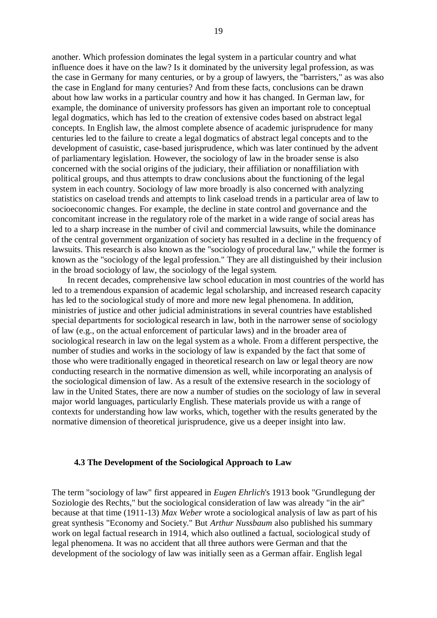another. Which profession dominates the legal system in a particular country and what influence does it have on the law? Is it dominated by the university legal profession, as was the case in Germany for many centuries, or by a group of lawyers, the "barristers," as was also the case in England for many centuries? And from these facts, conclusions can be drawn about how law works in a particular country and how it has changed. In German law, for example, the dominance of university professors has given an important role to conceptual legal dogmatics, which has led to the creation of extensive codes based on abstract legal concepts. In English law, the almost complete absence of academic jurisprudence for many centuries led to the failure to create a legal dogmatics of abstract legal concepts and to the development of casuistic, case-based jurisprudence, which was later continued by the advent of parliamentary legislation. However, the sociology of law in the broader sense is also concerned with the social origins of the judiciary, their affiliation or nonaffiliation with political groups, and thus attempts to draw conclusions about the functioning of the legal system in each country. Sociology of law more broadly is also concerned with analyzing statistics on caseload trends and attempts to link caseload trends in a particular area of law to socioeconomic changes. For example, the decline in state control and governance and the concomitant increase in the regulatory role of the market in a wide range of social areas has led to a sharp increase in the number of civil and commercial lawsuits, while the dominance of the central government organization of society has resulted in a decline in the frequency of lawsuits. This research is also known as the "sociology of procedural law," while the former is known as the "sociology of the legal profession." They are all distinguished by their inclusion in the broad sociology of law, the sociology of the legal system.

 In recent decades, comprehensive law school education in most countries of the world has led to a tremendous expansion of academic legal scholarship, and increased research capacity has led to the sociological study of more and more new legal phenomena. In addition, ministries of justice and other judicial administrations in several countries have established special departments for sociological research in law, both in the narrower sense of sociology of law (e.g., on the actual enforcement of particular laws) and in the broader area of sociological research in law on the legal system as a whole. From a different perspective, the number of studies and works in the sociology of law is expanded by the fact that some of those who were traditionally engaged in theoretical research on law or legal theory are now conducting research in the normative dimension as well, while incorporating an analysis of the sociological dimension of law. As a result of the extensive research in the sociology of law in the United States, there are now a number of studies on the sociology of law in several major world languages, particularly English. These materials provide us with a range of contexts for understanding how law works, which, together with the results generated by the normative dimension of theoretical jurisprudence, give us a deeper insight into law.

## **4.3 The Development of the Sociological Approach to Law**

The term "sociology of law" first appeared in *Eugen Ehrlich*'s 1913 book "Grundlegung der Soziologie des Rechts," but the sociological consideration of law was already "in the air" because at that time (1911-13) *Max Weber* wrote a sociological analysis of law as part of his great synthesis "Economy and Society." But *Arthur Nussbaum* also published his summary work on legal factual research in 1914, which also outlined a factual, sociological study of legal phenomena. It was no accident that all three authors were German and that the development of the sociology of law was initially seen as a German affair. English legal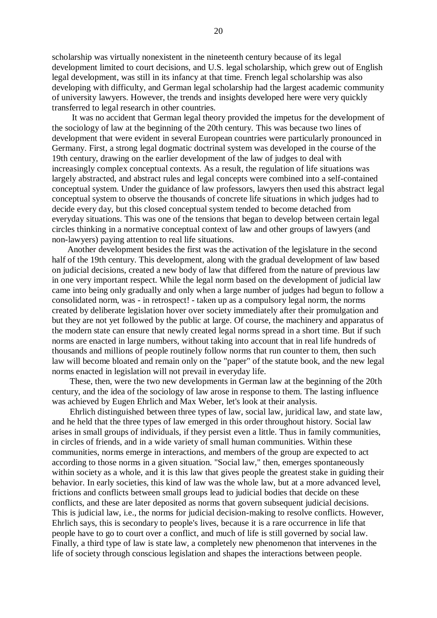scholarship was virtually nonexistent in the nineteenth century because of its legal development limited to court decisions, and U.S. legal scholarship, which grew out of English legal development, was still in its infancy at that time. French legal scholarship was also developing with difficulty, and German legal scholarship had the largest academic community of university lawyers. However, the trends and insights developed here were very quickly transferred to legal research in other countries.

 It was no accident that German legal theory provided the impetus for the development of the sociology of law at the beginning of the 20th century. This was because two lines of development that were evident in several European countries were particularly pronounced in Germany. First, a strong legal dogmatic doctrinal system was developed in the course of the 19th century, drawing on the earlier development of the law of judges to deal with increasingly complex conceptual contexts. As a result, the regulation of life situations was largely abstracted, and abstract rules and legal concepts were combined into a self-contained conceptual system. Under the guidance of law professors, lawyers then used this abstract legal conceptual system to observe the thousands of concrete life situations in which judges had to decide every day, but this closed conceptual system tended to become detached from everyday situations. This was one of the tensions that began to develop between certain legal circles thinking in a normative conceptual context of law and other groups of lawyers (and non-lawyers) paying attention to real life situations.

 Another development besides the first was the activation of the legislature in the second half of the 19th century. This development, along with the gradual development of law based on judicial decisions, created a new body of law that differed from the nature of previous law in one very important respect. While the legal norm based on the development of judicial law came into being only gradually and only when a large number of judges had begun to follow a consolidated norm, was - in retrospect! - taken up as a compulsory legal norm, the norms created by deliberate legislation hover over society immediately after their promulgation and but they are not yet followed by the public at large. Of course, the machinery and apparatus of the modern state can ensure that newly created legal norms spread in a short time. But if such norms are enacted in large numbers, without taking into account that in real life hundreds of thousands and millions of people routinely follow norms that run counter to them, then such law will become bloated and remain only on the "paper" of the statute book, and the new legal norms enacted in legislation will not prevail in everyday life.

 These, then, were the two new developments in German law at the beginning of the 20th century, and the idea of the sociology of law arose in response to them. The lasting influence was achieved by Eugen Ehrlich and Max Weber, let's look at their analysis.

 Ehrlich distinguished between three types of law, social law, juridical law, and state law, and he held that the three types of law emerged in this order throughout history. Social law arises in small groups of individuals, if they persist even a little. Thus in family communities, in circles of friends, and in a wide variety of small human communities. Within these communities, norms emerge in interactions, and members of the group are expected to act according to those norms in a given situation. "Social law," then, emerges spontaneously within society as a whole, and it is this law that gives people the greatest stake in guiding their behavior. In early societies, this kind of law was the whole law, but at a more advanced level, frictions and conflicts between small groups lead to judicial bodies that decide on these conflicts, and these are later deposited as norms that govern subsequent judicial decisions. This is judicial law, i.e., the norms for judicial decision-making to resolve conflicts. However, Ehrlich says, this is secondary to people's lives, because it is a rare occurrence in life that people have to go to court over a conflict, and much of life is still governed by social law. Finally, a third type of law is state law, a completely new phenomenon that intervenes in the life of society through conscious legislation and shapes the interactions between people.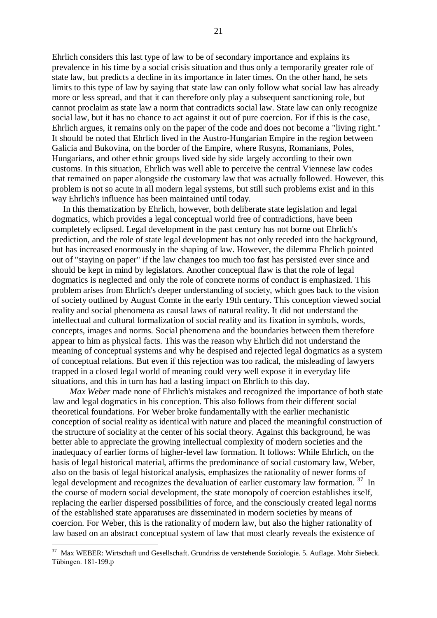Ehrlich considers this last type of law to be of secondary importance and explains its prevalence in his time by a social crisis situation and thus only a temporarily greater role of state law, but predicts a decline in its importance in later times. On the other hand, he sets limits to this type of law by saying that state law can only follow what social law has already more or less spread, and that it can therefore only play a subsequent sanctioning role, but cannot proclaim as state law a norm that contradicts social law. State law can only recognize social law, but it has no chance to act against it out of pure coercion. For if this is the case, Ehrlich argues, it remains only on the paper of the code and does not become a "living right." It should be noted that Ehrlich lived in the Austro-Hungarian Empire in the region between Galicia and Bukovina, on the border of the Empire, where Rusyns, Romanians, Poles, Hungarians, and other ethnic groups lived side by side largely according to their own customs. In this situation, Ehrlich was well able to perceive the central Viennese law codes that remained on paper alongside the customary law that was actually followed. However, this problem is not so acute in all modern legal systems, but still such problems exist and in this way Ehrlich's influence has been maintained until today.

 In this thematization by Ehrlich, however, both deliberate state legislation and legal dogmatics, which provides a legal conceptual world free of contradictions, have been completely eclipsed. Legal development in the past century has not borne out Ehrlich's prediction, and the role of state legal development has not only receded into the background, but has increased enormously in the shaping of law. However, the dilemma Ehrlich pointed out of "staying on paper" if the law changes too much too fast has persisted ever since and should be kept in mind by legislators. Another conceptual flaw is that the role of legal dogmatics is neglected and only the role of concrete norms of conduct is emphasized. This problem arises from Ehrlich's deeper understanding of society, which goes back to the vision of society outlined by August Comte in the early 19th century. This conception viewed social reality and social phenomena as causal laws of natural reality. It did not understand the intellectual and cultural formalization of social reality and its fixation in symbols, words, concepts, images and norms. Social phenomena and the boundaries between them therefore appear to him as physical facts. This was the reason why Ehrlich did not understand the meaning of conceptual systems and why he despised and rejected legal dogmatics as a system of conceptual relations. But even if this rejection was too radical, the misleading of lawyers trapped in a closed legal world of meaning could very well expose it in everyday life situations, and this in turn has had a lasting impact on Ehrlich to this day.

 *Max Weber* made none of Ehrlich's mistakes and recognized the importance of both state law and legal dogmatics in his conception. This also follows from their different social theoretical foundations. For Weber broke fundamentally with the earlier mechanistic conception of social reality as identical with nature and placed the meaningful construction of the structure of sociality at the center of his social theory. Against this background, he was better able to appreciate the growing intellectual complexity of modern societies and the inadequacy of earlier forms of higher-level law formation. It follows: While Ehrlich, on the basis of legal historical material, affirms the predominance of social customary law, Weber, also on the basis of legal historical analysis, emphasizes the rationality of newer forms of legal development and recognizes the devaluation of earlier customary law formation. <sup>37</sup> In the course of modern social development, the state monopoly of coercion establishes itself, replacing the earlier dispersed possibilities of force, and the consciously created legal norms of the established state apparatuses are disseminated in modern societies by means of coercion. For Weber, this is the rationality of modern law, but also the higher rationality of law based on an abstract conceptual system of law that most clearly reveals the existence of

<sup>37</sup> Max WEBER: Wirtschaft und Gesellschaft. Grundriss de verstehende Soziologie. 5. Auflage. Mohr Siebeck. Tübingen. 181-199.p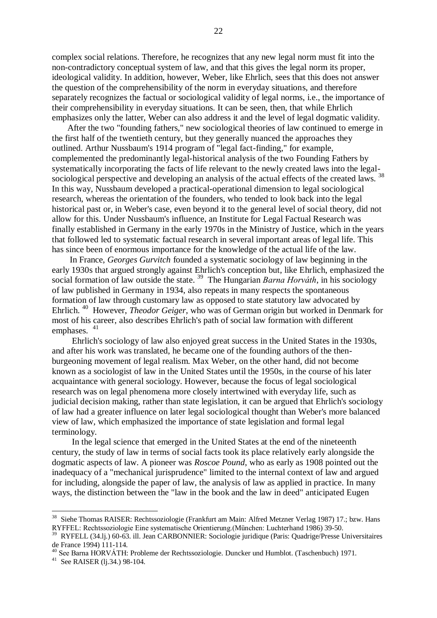complex social relations. Therefore, he recognizes that any new legal norm must fit into the non-contradictory conceptual system of law, and that this gives the legal norm its proper, ideological validity. In addition, however, Weber, like Ehrlich, sees that this does not answer the question of the comprehensibility of the norm in everyday situations, and therefore separately recognizes the factual or sociological validity of legal norms, i.e., the importance of their comprehensibility in everyday situations. It can be seen, then, that while Ehrlich emphasizes only the latter, Weber can also address it and the level of legal dogmatic validity.

 After the two "founding fathers," new sociological theories of law continued to emerge in the first half of the twentieth century, but they generally nuanced the approaches they outlined. Arthur Nussbaum's 1914 program of "legal fact-finding," for example, complemented the predominantly legal-historical analysis of the two Founding Fathers by systematically incorporating the facts of life relevant to the newly created laws into the legalsociological perspective and developing an analysis of the actual effects of the created laws.<sup>38</sup> In this way, Nussbaum developed a practical-operational dimension to legal sociological research, whereas the orientation of the founders, who tended to look back into the legal historical past or, in Weber's case, even beyond it to the general level of social theory, did not allow for this. Under Nussbaum's influence, an Institute for Legal Factual Research was finally established in Germany in the early 1970s in the Ministry of Justice, which in the years that followed led to systematic factual research in several important areas of legal life. This has since been of enormous importance for the knowledge of the actual life of the law.

 In France, *Georges Gurvitch* founded a systematic sociology of law beginning in the early 1930s that argued strongly against Ehrlich's conception but, like Ehrlich, emphasized the social formation of law outside the state. <sup>39</sup> The Hungarian *Barna Horváth*, in his sociology of law published in Germany in 1934, also repeats in many respects the spontaneous formation of law through customary law as opposed to state statutory law advocated by Ehrlich. <sup>40</sup> However, *Theodor Geiger*, who was of German origin but worked in Denmark for most of his career, also describes Ehrlich's path of social law formation with different emphases.  $41$ 

 Ehrlich's sociology of law also enjoyed great success in the United States in the 1930s, and after his work was translated, he became one of the founding authors of the thenburgeoning movement of legal realism. Max Weber, on the other hand, did not become known as a sociologist of law in the United States until the 1950s, in the course of his later acquaintance with general sociology. However, because the focus of legal sociological research was on legal phenomena more closely intertwined with everyday life, such as judicial decision making, rather than state legislation, it can be argued that Ehrlich's sociology of law had a greater influence on later legal sociological thought than Weber's more balanced view of law, which emphasized the importance of state legislation and formal legal terminology.

 In the legal science that emerged in the United States at the end of the nineteenth century, the study of law in terms of social facts took its place relatively early alongside the dogmatic aspects of law. A pioneer was *Roscoe Pound*, who as early as 1908 pointed out the inadequacy of a "mechanical jurisprudence" limited to the internal context of law and argued for including, alongside the paper of law, the analysis of law as applied in practice. In many ways, the distinction between the "law in the book and the law in deed" anticipated Eugen

 38 Siehe Thomas RAISER: Rechtssoziologie (Frankfurt am Main: Alfred Metzner Verlag 1987) 17.; bzw. Hans RYFFEL: Rechtssoziologie Eine systematische Orientierung.(München: Luchterhand 1986) 39-50.

<sup>39</sup> RYFELL (34.lj.) 60-63. ill. Jean CARBONNIER: Sociologie juridique (Paris: Quadrige/Presse Universitaires de France 1994) 111-114.

<sup>40</sup> See Barna HORVÁTH: Probleme der Rechtssoziologie. Duncker und Humblot. (Taschenbuch) 1971.

<sup>&</sup>lt;sup>41</sup> See RAISER (lj.34.) 98-104.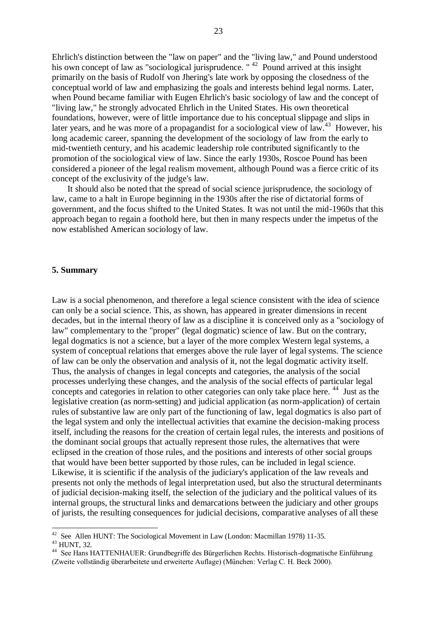Ehrlich's distinction between the "law on paper" and the "living law," and Pound understood his own concept of law as "sociological jurisprudence. "<sup>42</sup> Pound arrived at this insight primarily on the basis of Rudolf von Jhering's late work by opposing the closedness of the conceptual world of law and emphasizing the goals and interests behind legal norms. Later, when Pound became familiar with Eugen Ehrlich's basic sociology of law and the concept of "living law," he strongly advocated Ehrlich in the United States. His own theoretical foundations, however, were of little importance due to his conceptual slippage and slips in later years, and he was more of a propagandist for a sociological view of law.<sup>43</sup> However, his long academic career, spanning the development of the sociology of law from the early to mid-twentieth century, and his academic leadership role contributed significantly to the promotion of the sociological view of law. Since the early 1930s, Roscoe Pound has been considered a pioneer of the legal realism movement, although Pound was a fierce critic of its concept of the exclusivity of the judge's law.

 It should also be noted that the spread of social science jurisprudence, the sociology of law, came to a halt in Europe beginning in the 1930s after the rise of dictatorial forms of government, and the focus shifted to the United States. It was not until the mid-1960s that this approach began to regain a foothold here, but then in many respects under the impetus of the now established American sociology of law.

#### **5. Summary**

Law is a social phenomenon, and therefore a legal science consistent with the idea of science can only be a social science. This, as shown, has appeared in greater dimensions in recent decades, but in the internal theory of law as a discipline it is conceived only as a "sociology of law" complementary to the "proper" (legal dogmatic) science of law. But on the contrary, legal dogmatics is not a science, but a layer of the more complex Western legal systems, a system of conceptual relations that emerges above the rule layer of legal systems. The science of law can be only the observation and analysis of it, not the legal dogmatic activity itself. Thus, the analysis of changes in legal concepts and categories, the analysis of the social processes underlying these changes, and the analysis of the social effects of particular legal concepts and categories in relation to other categories can only take place here.<sup>44</sup> Just as the legislative creation (as norm-setting) and judicial application (as norm-application) of certain rules of substantive law are only part of the functioning of law, legal dogmatics is also part of the legal system and only the intellectual activities that examine the decision-making process itself, including the reasons for the creation of certain legal rules, the interests and positions of the dominant social groups that actually represent those rules, the alternatives that were eclipsed in the creation of those rules, and the positions and interests of other social groups that would have been better supported by those rules, can be included in legal science. Likewise, it is scientific if the analysis of the judiciary's application of the law reveals and presents not only the methods of legal interpretation used, but also the structural determinants of judicial decision-making itself, the selection of the judiciary and the political values of its internal groups, the structural links and demarcations between the judiciary and other groups of jurists, the resulting consequences for judicial decisions, comparative analyses of all these

 $42$  See Allen HUNT: The Sociological Movement in Law (London: Macmillan 1978) 11-35.

 $43$  HUNT, 32.

<sup>44</sup> See Hans HATTENHAUER: Grundbegriffe des Bürgerlichen Rechts. Historisch-dogmatische Einführung (Zweite vollständig überarbeitete und erweiterte Auflage) (München: Verlag C. H. Beck 2000).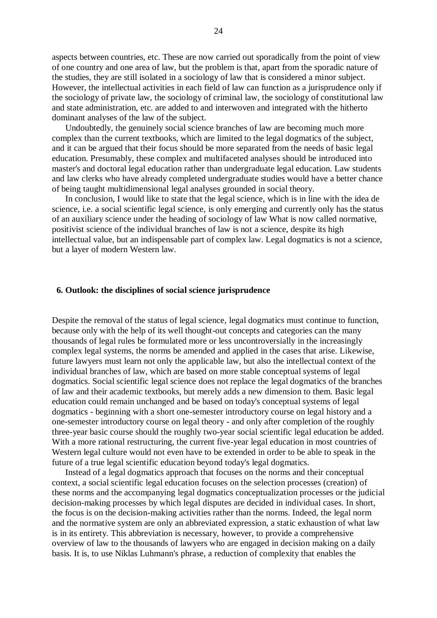aspects between countries, etc. These are now carried out sporadically from the point of view of one country and one area of law, but the problem is that, apart from the sporadic nature of the studies, they are still isolated in a sociology of law that is considered a minor subject. However, the intellectual activities in each field of law can function as a jurisprudence only if the sociology of private law, the sociology of criminal law, the sociology of constitutional law and state administration, etc. are added to and interwoven and integrated with the hitherto dominant analyses of the law of the subject.

 Undoubtedly, the genuinely social science branches of law are becoming much more complex than the current textbooks, which are limited to the legal dogmatics of the subject, and it can be argued that their focus should be more separated from the needs of basic legal education. Presumably, these complex and multifaceted analyses should be introduced into master's and doctoral legal education rather than undergraduate legal education. Law students and law clerks who have already completed undergraduate studies would have a better chance of being taught multidimensional legal analyses grounded in social theory.

 In conclusion, I would like to state that the legal science, which is in line with the idea de science, i.e. a social scientific legal science, is only emerging and currently only has the status of an auxiliary science under the heading of sociology of law What is now called normative, positivist science of the individual branches of law is not a science, despite its high intellectual value, but an indispensable part of complex law. Legal dogmatics is not a science, but a layer of modern Western law.

## **6. Outlook: the disciplines of social science jurisprudence**

Despite the removal of the status of legal science, legal dogmatics must continue to function, because only with the help of its well thought-out concepts and categories can the many thousands of legal rules be formulated more or less uncontroversially in the increasingly complex legal systems, the norms be amended and applied in the cases that arise. Likewise, future lawyers must learn not only the applicable law, but also the intellectual context of the individual branches of law, which are based on more stable conceptual systems of legal dogmatics. Social scientific legal science does not replace the legal dogmatics of the branches of law and their academic textbooks, but merely adds a new dimension to them. Basic legal education could remain unchanged and be based on today's conceptual systems of legal dogmatics - beginning with a short one-semester introductory course on legal history and a one-semester introductory course on legal theory - and only after completion of the roughly three-year basic course should the roughly two-year social scientific legal education be added. With a more rational restructuring, the current five-year legal education in most countries of Western legal culture would not even have to be extended in order to be able to speak in the future of a true legal scientific education beyond today's legal dogmatics.

 Instead of a legal dogmatics approach that focuses on the norms and their conceptual context, a social scientific legal education focuses on the selection processes (creation) of these norms and the accompanying legal dogmatics conceptualization processes or the judicial decision-making processes by which legal disputes are decided in individual cases. In short, the focus is on the decision-making activities rather than the norms. Indeed, the legal norm and the normative system are only an abbreviated expression, a static exhaustion of what law is in its entirety. This abbreviation is necessary, however, to provide a comprehensive overview of law to the thousands of lawyers who are engaged in decision making on a daily basis. It is, to use Niklas Luhmann's phrase, a reduction of complexity that enables the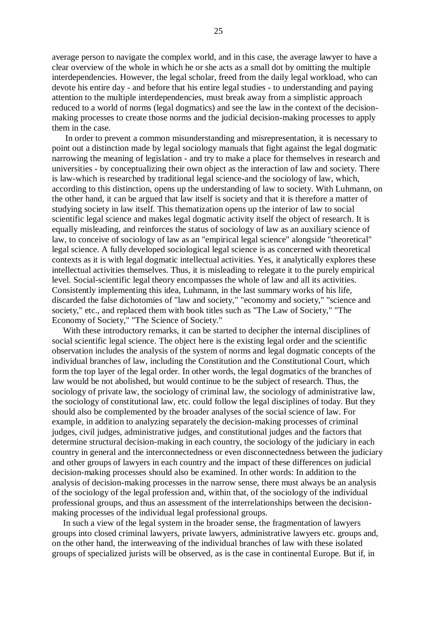average person to navigate the complex world, and in this case, the average lawyer to have a clear overview of the whole in which he or she acts as a small dot by omitting the multiple interdependencies. However, the legal scholar, freed from the daily legal workload, who can devote his entire day - and before that his entire legal studies - to understanding and paying attention to the multiple interdependencies, must break away from a simplistic approach reduced to a world of norms (legal dogmatics) and see the law in the context of the decisionmaking processes to create those norms and the judicial decision-making processes to apply them in the case.

 In order to prevent a common misunderstanding and misrepresentation, it is necessary to point out a distinction made by legal sociology manuals that fight against the legal dogmatic narrowing the meaning of legislation - and try to make a place for themselves in research and universities - by conceptualizing their own object as the interaction of law and society. There is law-which is researched by traditional legal science-and the sociology of law, which, according to this distinction, opens up the understanding of law to society. With Luhmann, on the other hand, it can be argued that law itself is society and that it is therefore a matter of studying society in law itself. This thematization opens up the interior of law to social scientific legal science and makes legal dogmatic activity itself the object of research. It is equally misleading, and reinforces the status of sociology of law as an auxiliary science of law, to conceive of sociology of law as an "empirical legal science" alongside "theoretical" legal science. A fully developed sociological legal science is as concerned with theoretical contexts as it is with legal dogmatic intellectual activities. Yes, it analytically explores these intellectual activities themselves. Thus, it is misleading to relegate it to the purely empirical level. Social-scientific legal theory encompasses the whole of law and all its activities. Consistently implementing this idea, Luhmann, in the last summary works of his life, discarded the false dichotomies of "law and society," "economy and society," "science and society," etc., and replaced them with book titles such as "The Law of Society," "The Economy of Society," "The Science of Society."

 With these introductory remarks, it can be started to decipher the internal disciplines of social scientific legal science. The object here is the existing legal order and the scientific observation includes the analysis of the system of norms and legal dogmatic concepts of the individual branches of law, including the Constitution and the Constitutional Court, which form the top layer of the legal order. In other words, the legal dogmatics of the branches of law would be not abolished, but would continue to be the subject of research. Thus, the sociology of private law, the sociology of criminal law, the sociology of administrative law, the sociology of constitutional law, etc. could follow the legal disciplines of today. But they should also be complemented by the broader analyses of the social science of law. For example, in addition to analyzing separately the decision-making processes of criminal judges, civil judges, administrative judges, and constitutional judges and the factors that determine structural decision-making in each country, the sociology of the judiciary in each country in general and the interconnectedness or even disconnectedness between the judiciary and other groups of lawyers in each country and the impact of these differences on judicial decision-making processes should also be examined. In other words: In addition to the analysis of decision-making processes in the narrow sense, there must always be an analysis of the sociology of the legal profession and, within that, of the sociology of the individual professional groups, and thus an assessment of the interrelationships between the decisionmaking processes of the individual legal professional groups.

 In such a view of the legal system in the broader sense, the fragmentation of lawyers groups into closed criminal lawyers, private lawyers, administrative lawyers etc. groups and, on the other hand, the interweaving of the individual branches of law with these isolated groups of specialized jurists will be observed, as is the case in continental Europe. But if, in